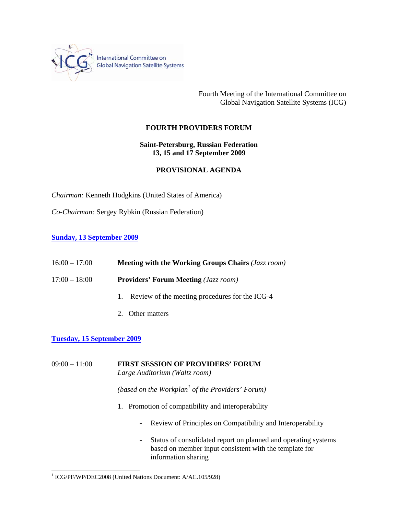

International Committee on<br>Global Navigation Satellite Systems

Fourth Meeting of the International Committee on Global Navigation Satellite Systems (ICG)

# **FOURTH PROVIDERS FORUM**

**Saint-Petersburg, Russian Federation 13, 15 and 17 September 2009** 

### **PROVISIONAL AGENDA**

*Chairman:* Kenneth Hodgkins (United States of America)

*Co-Chairman:* Sergey Rybkin (Russian Federation)

#### **Sunday, 13 September 2009**

| $16:00 - 17:00$ | Meeting with the Working Groups Chairs (Jazz room) |
|-----------------|----------------------------------------------------|
| $17:00 - 18:00$ | <b>Providers' Forum Meeting (Jazz room)</b>        |
|                 | Review of the meeting procedures for the ICG-4     |

2. Other matters

# **Tuesday, 15 September 2009**

 $\overline{a}$ 

09:00 – 11:00 **FIRST SESSION OF PROVIDERS' FORUM**  *Large Auditorium (Waltz room)*

*(based on the Workplan<sup>1</sup> of the Providers' Forum)* 

- 1. Promotion of compatibility and interoperability
	- Review of Principles on Compatibility and Interoperability
	- Status of consolidated report on planned and operating systems based on member input consistent with the template for information sharing

<sup>&</sup>lt;sup>1</sup> ICG/PF/WP/DEC2008 (United Nations Document: A/AC.105/928)